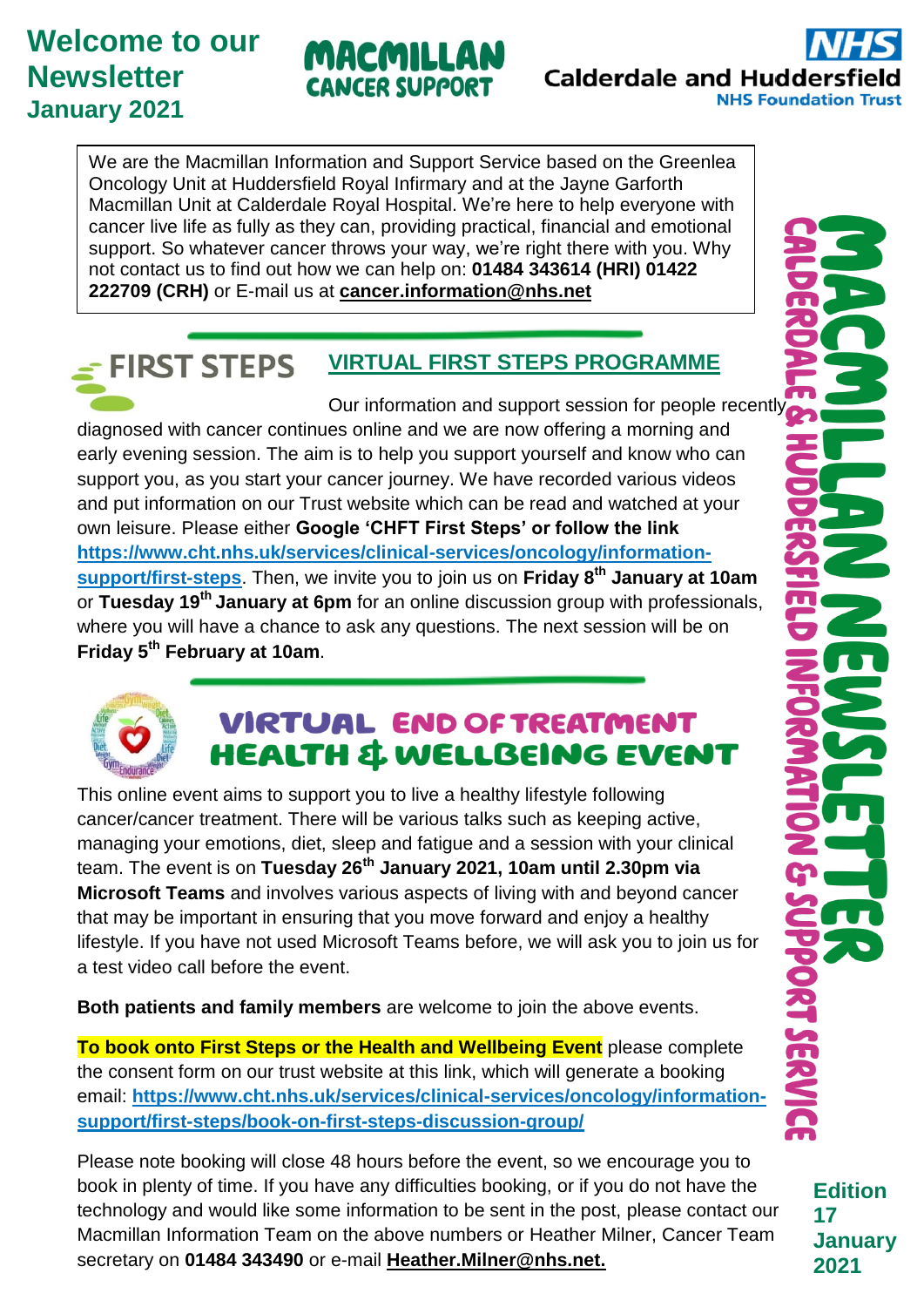# **Welcome to our Newsletter January 2021**

# MACMILLA CANCER SUPPORT

**Calderdale and Hudderst NHS Foundation Trust** 

We are the Macmillan Information and Support Service based on the Greenlea Oncology Unit at Huddersfield Royal Infirmary and at the Jayne Garforth Macmillan Unit at Calderdale Royal Hospital. We're here to help everyone with cancer live life as fully as they can, providing practical, financial and emotional support. So whatever cancer throws your way, we're right there with you. Why not contact us to find out how we can help on: **01484 343614 (HRI) 01422 222709 (CRH)** or E-mail us at **[cancer.information@nhs.net](mailto:cancer.information@nhs.net)**

### **FIRST STEPS VIRTUAL FIRST STEPS PROGRAMME**

Our information and support session for people recently diagnosed with cancer continues online and we are now offering a morning and early evening session. The aim is to help you support yourself and know who can support you, as you start your cancer journey. We have recorded various videos and put information on our Trust website which can be read and watched at your own leisure. Please either **Google 'CHFT First Steps' or follow the link [https://www.cht.nhs.uk/services/clinical-services/oncology/information](https://www.cht.nhs.uk/services/clinical-services/oncology/information-support/first-steps)[support/first-steps](https://www.cht.nhs.uk/services/clinical-services/oncology/information-support/first-steps)**. Then, we invite you to join us on **Friday 8 th January at 10am** or **Tuesday 19th January at 6pm** for an online discussion group with professionals, where you will have a chance to ask any questions. The next session will be on **Friday 5th February at 10am**.



# **VIRTUAL END OF TREATMENT HEALTH & WELLBEING EVENT**

This online event aims to support you to live a healthy lifestyle following cancer/cancer treatment. There will be various talks such as keeping active, managing your emotions, diet, sleep and fatigue and a session with your clinical team. The event is on **Tuesday 26th January 2021, 10am until 2.30pm via Microsoft Teams** and involves various aspects of living with and beyond cancer that may be important in ensuring that you move forward and enjoy a healthy lifestyle. If you have not used Microsoft Teams before, we will ask you to join us for a test video call before the event.

**Both patients and family members** are welcome to join the above events.

**To book onto First Steps or the Health and Wellbeing Event** please complete the consent form on our trust website at this link, which will generate a booking email: **https://www.cht.nhs.uk/services/clinical-services/oncology/informationsupport/first-steps/book-on-first-steps-discussion-group/** 

Please note booking will close 48 hours before the event, so we encourage you to book in plenty of time. If you have any difficulties booking, or if you do not have the technology and would like some information to be sent in the post, please contact our Macmillan Information Team on the above numbers or Heather Milner, Cancer Team secretary on **01484 343490** or e-mail **[Heather.Milner@nhs.net.](mailto:Heather.Milner@nhs.net)** 

**Edition 17 January 2021**